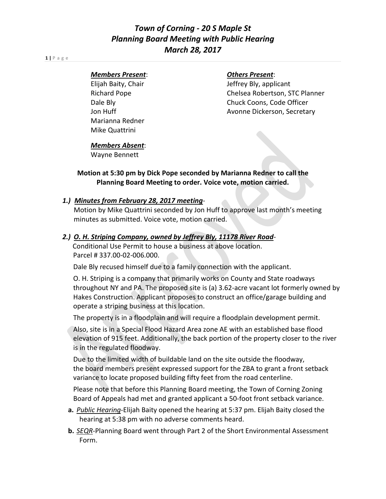# *Town of Corning - 20 S Maple St Planning Board Meeting with Public Hearing March 28, 2017*

**1 |** Page

#### *Members Present*: *Others Present*:

Marianna Redner Mike Quattrini

Elijah Baity, Chair **Jeffrey Bly, applicant** Richard Pope Chelsea Robertson, STC Planner Dale Bly Chuck Coons, Code Officer Jon Huff **Avonne Dickerson, Secretary** 

#### *Members Absent*:

Wayne Bennett

**Motion at 5:30 pm by Dick Pope seconded by Marianna Redner to call the Planning Board Meeting to order. Voice vote, motion carried.**

## *1.) Minutes from February 28, 2017 meeting*-

Motion by Mike Quattrini seconded by Jon Huff to approve last month's meeting minutes as submitted. Voice vote, motion carried.

## *2.) O. H. Striping Company, owned by Jeffrey Bly, 11178 River Road*-

Conditional Use Permit to house a business at above location. Parcel # 337.00-02-006.000.

Dale Bly recused himself due to a family connection with the applicant.

 O. H. Striping is a company that primarily works on County and State roadways throughout NY and PA. The proposed site is (a) 3.62-acre vacant lot formerly owned by Hakes Construction. Applicant proposes to construct an office/garage building and operate a striping business at this location.

The property is in a floodplain and will require a floodplain development permit.

 Also, site is in a Special Flood Hazard Area zone AE with an established base flood elevation of 915 feet. Additionally, the back portion of the property closer to the river is in the regulated floodway.

 Due to the limited width of buildable land on the site outside the floodway, the board members present expressed support for the ZBA to grant a front setback variance to locate proposed building fifty feet from the road centerline.

 Please note that before this Planning Board meeting, the Town of Corning Zoning Board of Appeals had met and granted applicant a 50-foot front setback variance.

- **a.** *Public Hearing*-Elijah Baity opened the hearing at 5:37 pm. Elijah Baity closed the hearing at 5:38 pm with no adverse comments heard.
- **b.** *SEQR*-Planning Board went through Part 2 of the Short Environmental Assessment Form.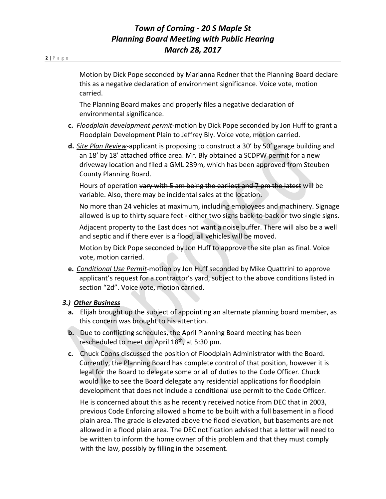#### **2 |** Page

Motion by Dick Pope seconded by Marianna Redner that the Planning Board declare this as a negative declaration of environment significance. Voice vote, motion carried.

The Planning Board makes and properly files a negative declaration of environmental significance.

- **c.** *Floodplain development permit*-motion by Dick Pope seconded by Jon Huff to grant a Floodplain Development Plain to Jeffrey Bly. Voice vote, motion carried.
- **d.** *Site Plan Review*-applicant is proposing to construct a 30' by 50' garage building and an 18' by 18' attached office area. Mr. Bly obtained a SCDPW permit for a new driveway location and filed a GML 239m, which has been approved from Steuben County Planning Board.

Hours of operation vary with 5 am being the earliest and 7 pm the latest will be variable. Also, there may be incidental sales at the location.

No more than 24 vehicles at maximum, including employees and machinery. Signage allowed is up to thirty square feet - either two signs back-to-back or two single signs.

Adjacent property to the East does not want a noise buffer. There will also be a well and septic and if there ever is a flood, all vehicles will be moved.

Motion by Dick Pope seconded by Jon Huff to approve the site plan as final. Voice vote, motion carried.

**e.** *Conditional Use Permit*-motion by Jon Huff seconded by Mike Quattrini to approve applicant's request for a contractor's yard, subject to the above conditions listed in section "2d". Voice vote, motion carried.

## *3.) Other Business*

- **a.** Elijah brought up the subject of appointing an alternate planning board member, as this concern was brought to his attention.
- **b.** Due to conflicting schedules, the April Planning Board meeting has been rescheduled to meet on April 18<sup>th</sup>, at 5:30 pm.
- **c.** Chuck Coons discussed the position of Floodplain Administrator with the Board. Currently, the Planning Board has complete control of that position, however it is legal for the Board to delegate some or all of duties to the Code Officer. Chuck would like to see the Board delegate any residential applications for floodplain development that does not include a conditional use permit to the Code Officer.

 He is concerned about this as he recently received notice from DEC that in 2003, previous Code Enforcing allowed a home to be built with a full basement in a flood plain area. The grade is elevated above the flood elevation, but basements are not allowed in a flood plain area. The DEC notification advised that a letter will need to be written to inform the home owner of this problem and that they must comply with the law, possibly by filling in the basement.